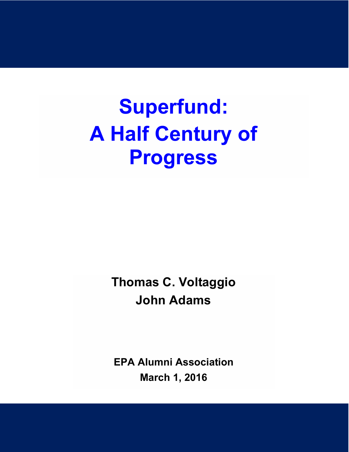# **Superfund: A Half Century of Progress**

**Thomas C. Voltaggio John Adams**

**EPA Alumni Association March 1, 2016**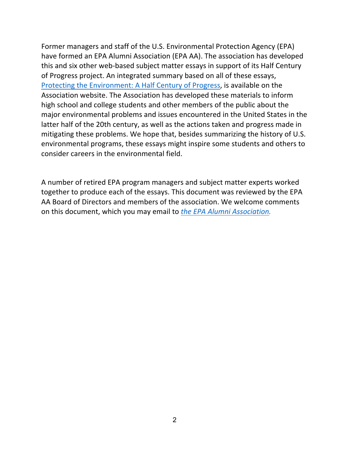Former managers and staff of the U.S. Environmental Protection Agency (EPA) have formed an EPA Alumni Association (EPA AA). The association has developed this and six other web-based subject matter essays in support of its Half Century of Progress project. An integrated summary based on all of these essays, Protecting the Environment: A Half Century of Progress, is available on the Association website. The Association has developed these materials to inform high school and college students and other members of the public about the major environmental problems and issues encountered in the United States in the latter half of the 20th century, as well as the actions taken and progress made in mitigating these problems. We hope that, besides summarizing the history of U.S. environmental programs, these essays might inspire some students and others to consider careers in the environmental field.

A number of retired EPA program managers and subject matter experts worked together to produce each of the essays. This document was reviewed by the EPA AA Board of Directors and members of the association. We welcome comments on this document, which you may email to *the EPA Alumni Association*.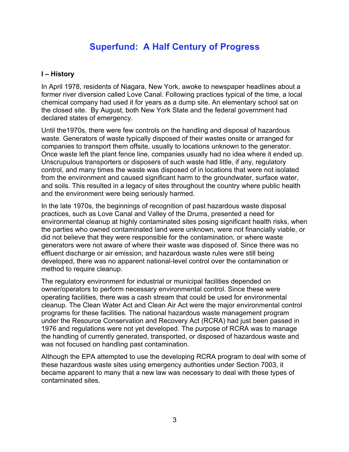## **Superfund: A Half Century of Progress**

#### **I – History**

In April 1978, residents of Niagara, New York, awoke to newspaper headlines about a former river diversion called Love Canal. Following practices typical of the time, a local chemical company had used it for years as a dump site. An elementary school sat on the closed site. By August, both New York State and the federal government had declared states of emergency.

Until the1970s, there were few controls on the handling and disposal of hazardous waste. Generators of waste typically disposed of their wastes onsite or arranged for companies to transport them offsite, usually to locations unknown to the generator. Once waste left the plant fence line, companies usually had no idea where it ended up. Unscrupulous transporters or disposers of such waste had little, if any, regulatory control, and many times the waste was disposed of in locations that were not isolated from the environment and caused significant harm to the groundwater, surface water, and soils. This resulted in a legacy of sites throughout the country where public health and the environment were being seriously harmed.

In the late 1970s, the beginnings of recognition of past hazardous waste disposal practices, such as Love Canal and Valley of the Drums, presented a need for environmental cleanup at highly contaminated sites posing significant health risks, when the parties who owned contaminated land were unknown, were not financially viable, or did not believe that they were responsible for the contamination, or where waste generators were not aware of where their waste was disposed of. Since there was no effluent discharge or air emission, and hazardous waste rules were still being developed, there was no apparent national-level control over the contamination or method to require cleanup.

The regulatory environment for industrial or municipal facilities depended on owner/operators to perform necessary environmental control. Since these were operating facilities, there was a cash stream that could be used for environmental cleanup. The Clean Water Act and Clean Air Act were the major environmental control programs for these facilities. The national hazardous waste management program under the Resource Conservation and Recovery Act (RCRA) had just been passed in 1976 and regulations were not yet developed. The purpose of RCRA was to manage the handling of currently generated, transported, or disposed of hazardous waste and was not focused on handling past contamination.

Although the EPA attempted to use the developing RCRA program to deal with some of these hazardous waste sites using emergency authorities under Section 7003, it became apparent to many that a new law was necessary to deal with these types of contaminated sites.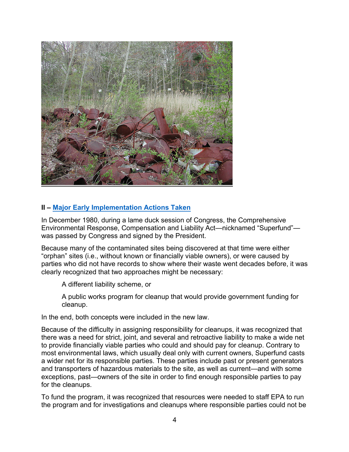

### **II – [Major Early Implementation Actions Taken](http://www.epa.gov/superfund/superfund-history)**

In December 1980, during a lame duck session of Congress, the Comprehensive Environmental Response, Compensation and Liability Act—nicknamed "Superfund" was passed by Congress and signed by the President.

Because many of the contaminated sites being discovered at that time were either "orphan" sites (i.e., without known or financially viable owners), or were caused by parties who did not have records to show where their waste went decades before, it was clearly recognized that two approaches might be necessary:

A different liability scheme, or

A public works program for cleanup that would provide government funding for cleanup.

In the end, both concepts were included in the new law.

Because of the difficulty in assigning responsibility for cleanups, it was recognized that there was a need for strict, joint, and several and retroactive liability to make a wide net to provide financially viable parties who could and should pay for cleanup. Contrary to most environmental laws, which usually deal only with current owners, Superfund casts a wider net for its responsible parties. These parties include past or present generators and transporters of hazardous materials to the site, as well as current—and with some exceptions, past—owners of the site in order to find enough responsible parties to pay for the cleanups.

To fund the program, it was recognized that resources were needed to staff EPA to run the program and for investigations and cleanups where responsible parties could not be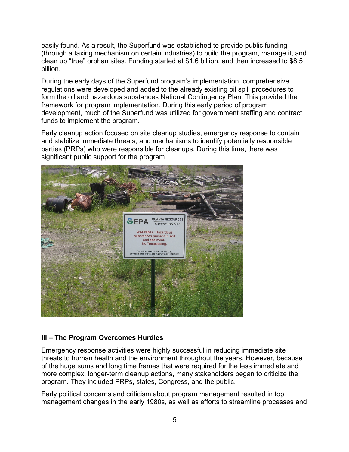easily found. As a result, the Superfund was established to provide public funding (through a taxing mechanism on certain industries) to build the program, manage it, and clean up "true" orphan sites. Funding started at \$1.6 billion, and then increased to \$8.5 billion.

During the early days of the Superfund program's implementation, comprehensive regulations were developed and added to the already existing oil spill procedures to form the oil and hazardous substances National Contingency Plan. This provided the framework for program implementation. During this early period of program development, much of the Superfund was utilized for government staffing and contract funds to implement the program.

Early cleanup action focused on site cleanup studies, emergency response to contain and stabilize immediate threats, and mechanisms to identify potentially responsible parties (PRPs) who were responsible for cleanups. During this time, there was significant public support for the program



#### **III – The Program Overcomes Hurdles**

Emergency response activities were highly successful in reducing immediate site threats to human health and the environment throughout the years. However, because of the huge sums and long time frames that were required for the less immediate and more complex, longer-term cleanup actions, many stakeholders began to criticize the program. They included PRPs, states, Congress, and the public.

Early political concerns and criticism about program management resulted in top management changes in the early 1980s, as well as efforts to streamline processes and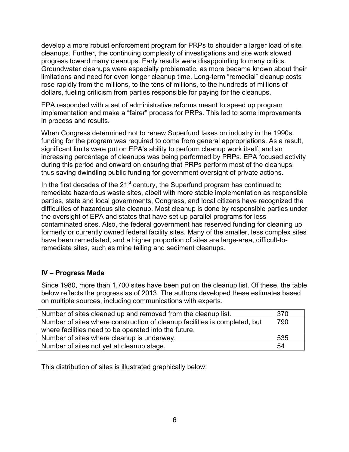develop a more robust enforcement program for PRPs to shoulder a larger load of site cleanups. Further, the continuing complexity of investigations and site work slowed progress toward many cleanups. Early results were disappointing to many critics. Groundwater cleanups were especially problematic, as more became known about their limitations and need for even longer cleanup time. Long-term "remedial" cleanup costs rose rapidly from the millions, to the tens of millions, to the hundreds of millions of dollars, fueling criticism from parties responsible for paying for the cleanups.

EPA responded with a set of administrative reforms meant to speed up program implementation and make a "fairer" process for PRPs. This led to some improvements in process and results.

When Congress determined not to renew Superfund taxes on industry in the 1990s, funding for the program was required to come from general appropriations. As a result, significant limits were put on EPA's ability to perform cleanup work itself, and an increasing percentage of cleanups was being performed by PRPs. EPA focused activity during this period and onward on ensuring that PRPs perform most of the cleanups, thus saving dwindling public funding for government oversight of private actions.

In the first decades of the  $21<sup>st</sup>$  century, the Superfund program has continued to remediate hazardous waste sites, albeit with more stable implementation as responsible parties, state and local governments, Congress, and local citizens have recognized the difficulties of hazardous site cleanup. Most cleanup is done by responsible parties under the oversight of EPA and states that have set up parallel programs for less contaminated sites. Also, the federal government has reserved funding for cleaning up formerly or currently owned federal facility sites. Many of the smaller, less complex sites have been remediated, and a higher proportion of sites are large-area, difficult-toremediate sites, such as mine tailing and sediment cleanups.

#### **IV – Progress Made**

Since 1980, more than 1,700 sites have been put on the cleanup list. Of these, the table below reflects the progress as of 2013. The authors developed these estimates based on multiple sources, including communications with experts.

| Number of sites cleaned up and removed from the cleanup list.              | 370 |
|----------------------------------------------------------------------------|-----|
| Number of sites where construction of cleanup facilities is completed, but | 790 |
| where facilities need to be operated into the future.                      |     |
| Number of sites where cleanup is underway.                                 | 535 |
| Number of sites not yet at cleanup stage.                                  | 54  |

This distribution of sites is illustrated graphically below: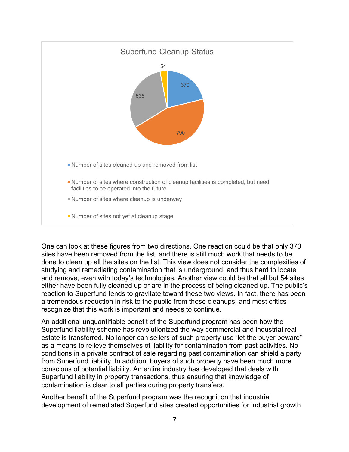

One can look at these figures from two directions. One reaction could be that only 370 sites have been removed from the list, and there is still much work that needs to be done to clean up all the sites on the list. This view does not consider the complexities of studying and remediating contamination that is underground, and thus hard to locate and remove, even with today's technologies. Another view could be that all but 54 sites either have been fully cleaned up or are in the process of being cleaned up. The public's reaction to Superfund tends to gravitate toward these two views. In fact, there has been a tremendous reduction in risk to the public from these cleanups, and most critics recognize that this work is important and needs to continue.

An additional unquantifiable benefit of the Superfund program has been how the Superfund liability scheme has revolutionized the way commercial and industrial real estate is transferred. No longer can sellers of such property use "let the buyer beware" as a means to relieve themselves of liability for contamination from past activities. No conditions in a private contract of sale regarding past contamination can shield a party from Superfund liability. In addition, buyers of such property have been much more conscious of potential liability. An entire industry has developed that deals with Superfund liability in property transactions, thus ensuring that knowledge of contamination is clear to all parties during property transfers.

Another benefit of the Superfund program was the recognition that industrial development of remediated Superfund sites created opportunities for industrial growth